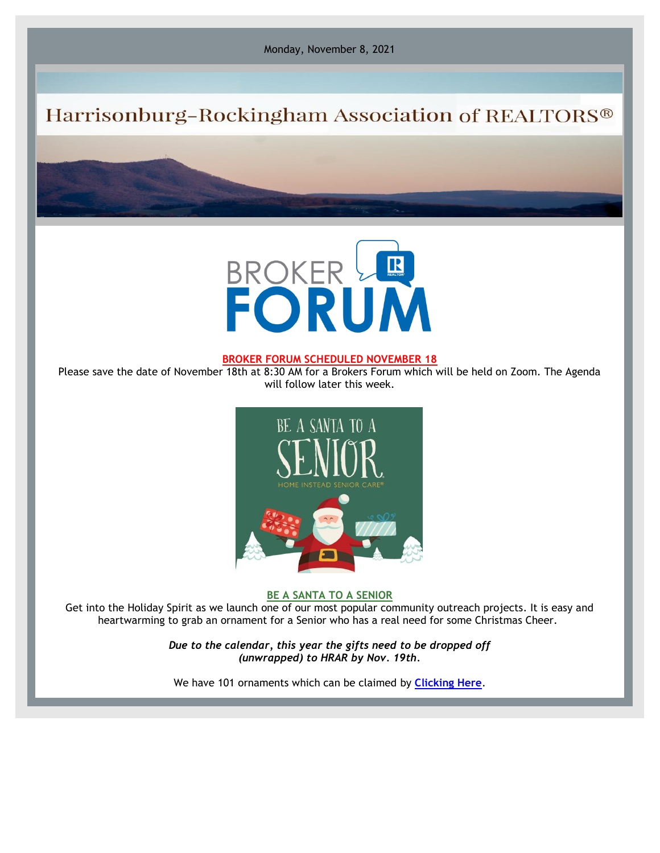Monday, November 8, 2021

## Harrisonburg-Rockingham Association of REALTORS®



## **BROKER FORUM SCHEDULED NOVEMBER 18**

Please save the date of November 18th at 8:30 AM for a Brokers Forum which will be held on Zoom. The Agenda will follow later this week.



**BE A SANTA TO A SENIOR**

Get into the Holiday Spirit as we launch one of our most popular community outreach projects. It is easy and heartwarming to grab an ornament for a Senior who has a real need for some Christmas Cheer.

> *Due to the calendar, this year the gifts need to be dropped off (unwrapped) to HRAR by Nov. 19th.*

We have 101 ornaments which can be claimed by **[Clicking Here](https://r20.rs6.net/tn.jsp?f=00119bJ8UpDDmeWpbAGteokMbjPYcIb1zk6M9UZQ5cNpOxOZa0wI13DetswIiWvmghrBO33iRisM1W9tPfjn1Mc7kPfxoXsGgPWzhr5ZS4luspqmw_XixoU7rhyXz-AkpdYPJAqKwJiAbhJ8ojKVSvfnPntQUObjAlw&c=_XbDuqlItRH6prGHDsonYYrjfc-Wj0-0OS2ERy4DkWq1I78INkKzbg==&ch=Yr7uSoks3KOHb6ofJp1X99FzPKSdj2A8hahPOqPgqs_sfBspcFe7Mg==)**.